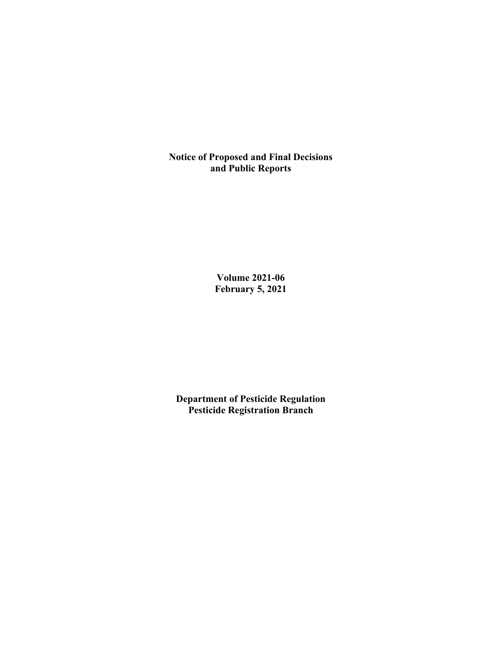**Notice of Proposed and Final Decisions and Public Reports**

> **Volume 2021-06 February 5, 2021**

**Department of Pesticide Regulation Pesticide Registration Branch**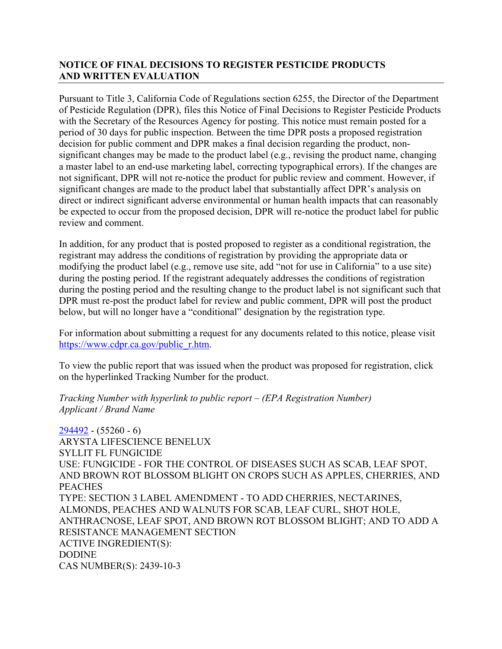# **NOTICE OF FINAL DECISIONS TO REGISTER PESTICIDE PRODUCTS AND WRITTEN EVALUATION**

Pursuant to Title 3, California Code of Regulations section 6255, the Director of the Department of Pesticide Regulation (DPR), files this Notice of Final Decisions to Register Pesticide Products with the Secretary of the Resources Agency for posting. This notice must remain posted for a period of 30 days for public inspection. Between the time DPR posts a proposed registration decision for public comment and DPR makes a final decision regarding the product, nonsignificant changes may be made to the product label (e.g., revising the product name, changing a master label to an end-use marketing label, correcting typographical errors). If the changes are not significant, DPR will not re-notice the product for public review and comment. However, if significant changes are made to the product label that substantially affect DPR's analysis on direct or indirect significant adverse environmental or human health impacts that can reasonably be expected to occur from the proposed decision, DPR will re-notice the product label for public review and comment.

In addition, for any product that is posted proposed to register as a conditional registration, the registrant may address the conditions of registration by providing the appropriate data or modifying the product label (e.g., remove use site, add "not for use in California" to a use site) during the posting period. If the registrant adequately addresses the conditions of registration during the posting period and the resulting change to the product label is not significant such that DPR must re-post the product label for review and public comment, DPR will post the product below, but will no longer have a "conditional" designation by the registration type.

For information about submitting a request for any documents related to this notice, please visit [https://www.cdpr.ca.gov/public\\_r.htm.](https://www.cdpr.ca.gov/public_r.htm)

To view the public report that was issued when the product was proposed for registration, click on the hyperlinked Tracking Number for the product.

*Tracking Number with hyperlink to public report – (EPA Registration Number) Applicant / Brand Name*

[294492](https://www.cdpr.ca.gov/docs/registration/nod/public_reports/294492.pdf) - (55260 - 6) ARYSTA LIFESCIENCE BENELUX SYLLIT FL FUNGICIDE USE: FUNGICIDE - FOR THE CONTROL OF DISEASES SUCH AS SCAB, LEAF SPOT, AND BROWN ROT BLOSSOM BLIGHT ON CROPS SUCH AS APPLES, CHERRIES, AND **PEACHES** TYPE: SECTION 3 LABEL AMENDMENT - TO ADD CHERRIES, NECTARINES, ALMONDS, PEACHES AND WALNUTS FOR SCAB, LEAF CURL, SHOT HOLE, ANTHRACNOSE, LEAF SPOT, AND BROWN ROT BLOSSOM BLIGHT; AND TO ADD A RESISTANCE MANAGEMENT SECTION ACTIVE INGREDIENT(S): DODINE CAS NUMBER(S): 2439-10-3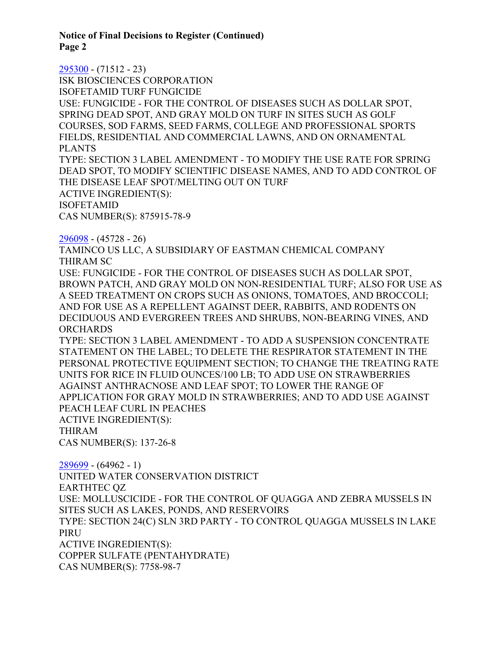**Notice of Final Decisions to Register (Continued) Page 2**

[295300](https://www.cdpr.ca.gov/docs/registration/nod/public_reports/295300.pdf) - (71512 - 23) ISK BIOSCIENCES CORPORATION ISOFETAMID TURF FUNGICIDE USE: FUNGICIDE - FOR THE CONTROL OF DISEASES SUCH AS DOLLAR SPOT, SPRING DEAD SPOT, AND GRAY MOLD ON TURF IN SITES SUCH AS GOLF COURSES, SOD FARMS, SEED FARMS, COLLEGE AND PROFESSIONAL SPORTS FIELDS, RESIDENTIAL AND COMMERCIAL LAWNS, AND ON ORNAMENTAL PLANTS TYPE: SECTION 3 LABEL AMENDMENT - TO MODIFY THE USE RATE FOR SPRING DEAD SPOT, TO MODIFY SCIENTIFIC DISEASE NAMES, AND TO ADD CONTROL OF THE DISEASE LEAF SPOT/MELTING OUT ON TURF ACTIVE INGREDIENT(S): ISOFETAMID CAS NUMBER(S): 875915-78-9 [296098](https://www.cdpr.ca.gov/docs/registration/nod/public_reports/296098.pdf) - (45728 - 26) TAMINCO US LLC, A SUBSIDIARY OF EASTMAN CHEMICAL COMPANY THIRAM SC USE: FUNGICIDE - FOR THE CONTROL OF DISEASES SUCH AS DOLLAR SPOT, BROWN PATCH, AND GRAY MOLD ON NON-RESIDENTIAL TURF; ALSO FOR USE AS A SEED TREATMENT ON CROPS SUCH AS ONIONS, TOMATOES, AND BROCCOLI; AND FOR USE AS A REPELLENT AGAINST DEER, RABBITS, AND RODENTS ON DECIDUOUS AND EVERGREEN TREES AND SHRUBS, NON-BEARING VINES, AND **ORCHARDS** TYPE: SECTION 3 LABEL AMENDMENT - TO ADD A SUSPENSION CONCENTRATE STATEMENT ON THE LABEL; TO DELETE THE RESPIRATOR STATEMENT IN THE PERSONAL PROTECTIVE EQUIPMENT SECTION; TO CHANGE THE TREATING RATE UNITS FOR RICE IN FLUID OUNCES/100 LB; TO ADD USE ON STRAWBERRIES AGAINST ANTHRACNOSE AND LEAF SPOT; TO LOWER THE RANGE OF APPLICATION FOR GRAY MOLD IN STRAWBERRIES; AND TO ADD USE AGAINST PEACH LEAF CURL IN PEACHES ACTIVE INGREDIENT(S): THIRAM CAS NUMBER(S): 137-26-8 [289699](https://www.cdpr.ca.gov/docs/registration/nod/public_reports/289699.pdf) - (64962 - 1) UNITED WATER CONSERVATION DISTRICT EARTHTEC QZ USE: MOLLUSCICIDE - FOR THE CONTROL OF QUAGGA AND ZEBRA MUSSELS IN SITES SUCH AS LAKES, PONDS, AND RESERVOIRS TYPE: SECTION 24(C) SLN 3RD PARTY - TO CONTROL QUAGGA MUSSELS IN LAKE

PIRU

ACTIVE INGREDIENT(S): COPPER SULFATE (PENTAHYDRATE) CAS NUMBER(S): 7758-98-7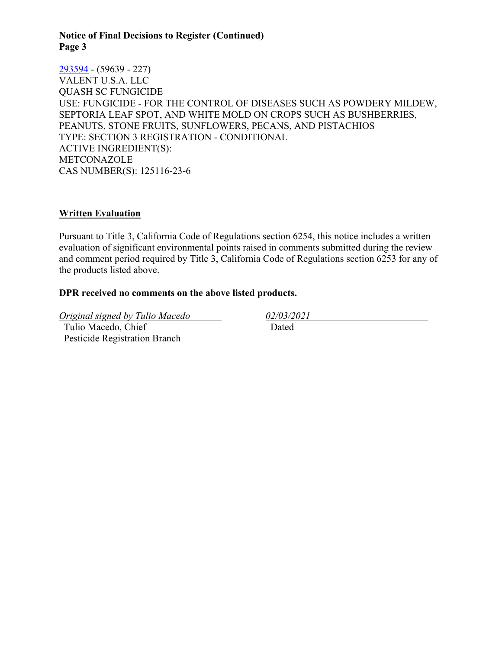#### **Notice of Final Decisions to Register (Continued) Page 3**

[293594](https://www.cdpr.ca.gov/docs/registration/nod/public_reports/293594.pdf) - (59639 - 227) VALENT U.S.A. LLC QUASH SC FUNGICIDE USE: FUNGICIDE - FOR THE CONTROL OF DISEASES SUCH AS POWDERY MILDEW, SEPTORIA LEAF SPOT, AND WHITE MOLD ON CROPS SUCH AS BUSHBERRIES, PEANUTS, STONE FRUITS, SUNFLOWERS, PECANS, AND PISTACHIOS TYPE: SECTION 3 REGISTRATION - CONDITIONAL ACTIVE INGREDIENT(S): METCONAZOLE CAS NUMBER(S): 125116-23-6

### **Written Evaluation**

Pursuant to Title 3, California Code of Regulations section 6254, this notice includes a written evaluation of significant environmental points raised in comments submitted during the review and comment period required by Title 3, California Code of Regulations section 6253 for any of the products listed above.

### **DPR received no comments on the above listed products.**

*Original signed by Tulio Macedo 02/03/2021* Tulio Macedo, Chief Pesticide Registration Branch

Dated